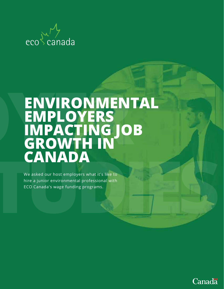

## **ENVIRONMENTAL EMPLOYERS IMPACTING JOB GROWTH IN CANADA**

We asked our host employers what it's like to hire a junior environmental professional with ECO Canada's wage funding programs.

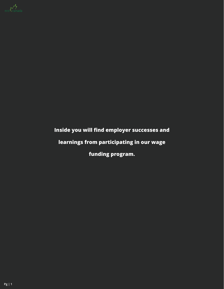

### **Inside you will find employer successes and**

### **learnings from participating in our wage**

**funding program.**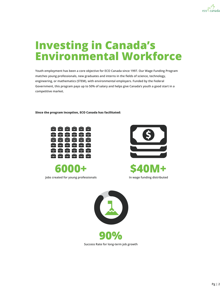

### **Investing in Canada's Environmental Workforce**

**Youth employment has been a core objective for ECO Canada since 1997. Our Wage Funding Program matches young professionals, new graduates and interns in the fields of science, technology, engineering, or mathematics (STEM), with environmental employers. Funded by the Federal Government, this program pays up to 50% of salary and helps give Canada's youth a good start in a competitive market.** 

**Since the program inception, ECO Canada has facilitated:**





**Jobs created for young professionals**







**Success Rate for long-term job growth**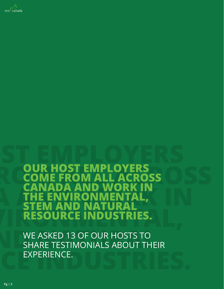

**OUR HOST EMPLOYERS<br>COME FROM ALL ACRO LL ACROSS NADA AND WORK IN<br>E ENVIRONMENTAL. VIRONMENTAL,<br>ND NATURAL EM AND RESOURCE INDUSTRIES.**

WE ASKED 13 OF OUR HOSTS TO SHARE TESTIMONIALS ABOUT THEIR EXPERIENCE.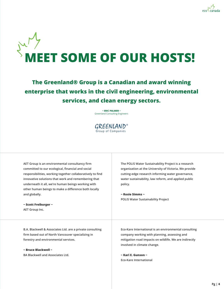



**The Greenland® Group is a Canadian and award winning enterprise that works in the civil engineering, environmental services, and clean energy sectors.**

> **~ ERIC PALMER ~** Greenland Consulting Engineers

 $GREENLAND<sup>°</sup>$  Group of Companies

**AET Group is an environmental consultancy firm committed to our ecological, financial and social responsibilities, working together collaboratively to find innovative solutions that work and remembering that underneath it all, we're human beings working with other human beings to make a difference both locally and globally.**

**~ Scott Freiburger ~ AET Group Inc.**

**The POLIS Water Sustainability Project is a research organization at the University of Victoria. We provide cutting-edge research informing water governance, water sustainability, law reform, and applied public policy.** 

**~ Rosie Simms ~ POLIS Water Sustainability Project**

**B.A. Blackwell & Associates Ltd. are a private consulting firm based out of North Vancouver specializing in forestry and environmental services.** 

**~ Bruce Blackwell ~ BA Blackwell and Associates Ltd.** **Eco-Kare International is an environmental consulting company working with planning, assessing and mitigation road impacts on wildlife. We are indirectly involved in climate change.**

**~ Kari E. Gunson ~ Eco-Kare International**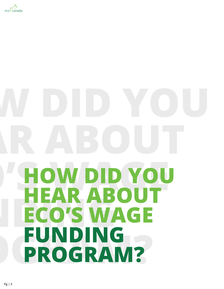

# **HOW DID YOU HEAR ABOUT ECO'S WAGE FUNDING PROGRAM?**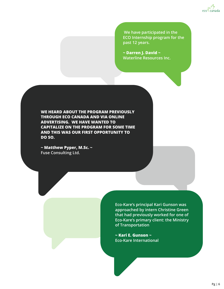

 **We have participated in the ECO Internship program for the past 12 years.**

**~ Darren J. David ~ Waterline Resources Inc.**

**WE HEARD ABOUT THE PROGRAM PREVIOUSLY THROUGH ECO CANADA AND VIA ONLINE ADVERTISING. WE HAVE WANTED TO CAPITALIZE ON THE PROGRAM FOR SOME TIME AND THIS WAS OUR FIRST OPPORTUNITY TO DO SO.** 

**~ Matthew Pyper, M.Sc. ~ Fuse Consulting Ltd.**

> **Eco-Kare's principal Kari Gunson was approached by intern Christine Green that had previously worked for one of Eco-Kare's primary client: the Ministry of Transportation**

**~ Kari E. Gunson ~ Eco-Kare International**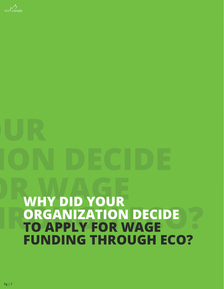

# **WHY DID YOUR ORGANIZATION DECIDE TO APPLY FOR WAGE FUNDING THROUGH ECO?**

**Pg | 7**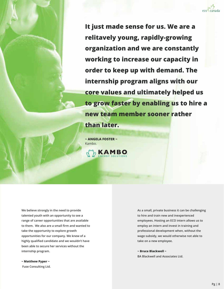**It just made sense for us. We are a relitavely young, rapidly-growing organization and we are constantly working to increase our capacity in order to keep up with demand. The internship program aligns with our core values and ultimately helped us to grow faster by enabling us to hire a new team member sooner rather** 

**than later.**

**~ ANGELA FOSTER ~** Kambo.

 $h$  KAMBO

**We believe strongly in the need to provide talented youth with an opportunity to see a range of career opportunities that are available to them. We also are a small firm and wanted to take the opportunity to explore growth opportunities for our company. We knew of a highly qualified candidate and we wouldn't have been able to secure her services without the internship program.**

**~ Matthew Pyper ~ Fuse Consulting Ltd.** **As a small, private business it can be challenging to hire and train new and inexperienced employees. Hosting an ECO intern allows us to employ an intern and invest in training and professional development when, without the wage subsidy, we would otherwise not able to take on a new employee.**

**~ Bruce Blackwell ~ BA Blackwell and Associates Ltd.**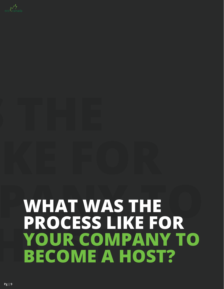

## **WHAT WAS THE PROCESS LIKE FOR YOUR COMPANY TO BECOME A HOST?**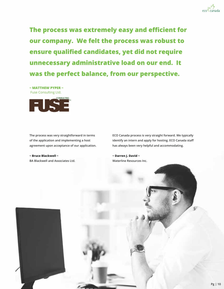

**The process was extremely easy and efficient for our company. We felt the process was robust to ensure qualified candidates, yet did not require unnecessary administrative load on our end. It was the perfect balance, from our perspective.**

**~ MATTHEW PYPER ~** Fuse Consulting Ltd.



**The process was very straightforward in terms of the application and implementing a host agreement upon acceptance of our application.**

**~ Bruce Blackwell ~ BA Blackwell and Associates Ltd.**

**ECO Canada process is very straight forward. We typically identify an intern and apply for hosting. ECO Canada staff has always been very helpful and accommodating.**

**~ Darren J. David ~ Waterline Resources Inc.**

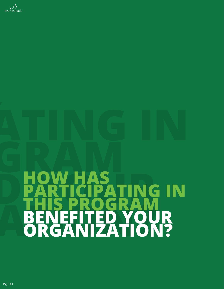

# **HOW HAS PARTICIPATING IN THIS PROGRAM BENEFITED YOUR ORGANIZATION?**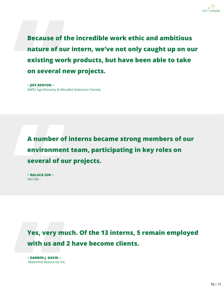

**Because of the incredible work ethic and ambitious nature of our intern, we've not only caught up on our existing work products, but have been able to take on several new projects.**

**~ JEFF RENTON ~** AWES Agroforestry & Woodlot Extension Society

**A number of interns became strong members of our environment team, participating in key roles on several of our projects.** 

**~ RALUCA ION ~** AECOM

**Yes, very much. Of the 13 interns, 5 remain employed with us and 2 have become clients.**

**~ DARREN J. DAVID ~** Waterline Resources Inc.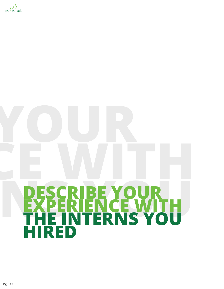

# **DESCRIBE YOUR EXPERIENCE WITH THE INTERNS YOU HIRED**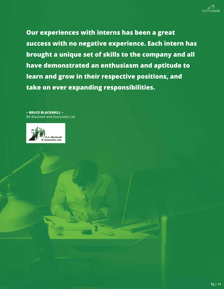

**Our experiences with interns has been a great success with no negative experience. Each intern has brought a unique set of skills to the company and all have demonstrated an enthusiasm and aptitude to learn and grow in their respective positions, and take on ever expanding responsibilities.** 

**~ BRUCE BLACKWELL ~** BA Blackwell and Associates Ltd.

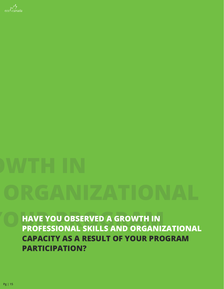

**HAVE YOU OBSERVED A GROWTH IN PROFESSIONAL SKILLS AND ORGANIZATIONAL CAPACITY AS A RESULT OF YOUR PROGRAM PARTICIPATION?**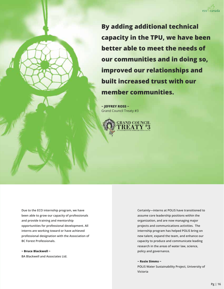

**By adding additional technical capacity in the TPU, we have been better able to meet the needs of our communities and in doing so, improved our relationships and built increased trust with our member communities.**

**~ JEFFREY ROSS ~** Grand Council Treaty #3



**Due to the ECO internship program, we have been able to grow our capacity of professionals and provide training and mentorship opportunities for professional development. All interns are working toward or have achieved professional designation with the Association of BC Forest Professionals.**

**~ Bruce Blackwell ~ BA Blackwell and Associates Ltd.** **Certainly—interns at POLIS have transitioned to assume core leadership positions within the organization, and are now managing major projects and communications activities. The internship program has helped POLIS bring on new talent, expand the team, and enhance our capacity to produce and communicate leading research in the areas of water law, science, policy and governance.** 

### **~ Rosie Simms ~**

**POLIS Water Sustainability Project, University of Victoria**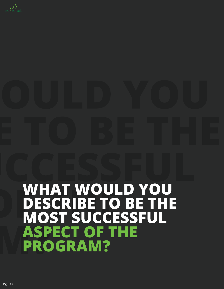

## **WHAT WOULD YOU DESCRIBE TO BE THE MOST SUCCESSFUL ASPECT OF THE PROGRAM?**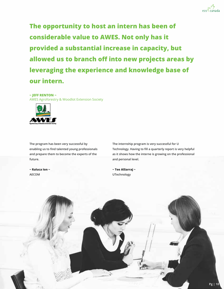**The opportunity to host an intern has been of considerable value to AWES. Not only has it provided a substantial increase in capacity, but allowed us to branch off into new projects areas by leveraging the experience and knowledge base of our intern.**

### **~ JEFF RENTON ~**

AWES Agroforestry & Woodlot Extension Society



**The program has been very successful by enabling us to find talented young professionals and prepare them to become the experts of the future.** 

**~ Raluca Ion ~ AECOM**

**The internship program is very successful for U Technology. Having to fill a quarterly report is very helpful as it shows how the interne is growing on the professional and personal level.**

**~ Tee AlSarraj ~ UTechnology**

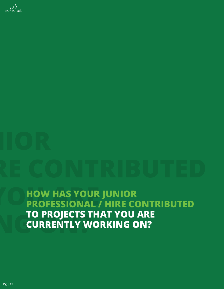

**HOW HAS YOUR JUNIOR PROFESSIONAL / HIRE CONTRIBUTED TO PROJECTS THAT YOU ARE CURRENTLY WORKING ON?**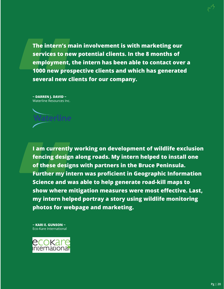**The intern's main involvement is with marketing our services to new potential clients. In the 8 months of employment, the intern has been able to contact over a 1000 new prospective clients and which has generated several new clients for our company.**

**~ DARREN J. DAVID ~** Waterline Resources Inc.



**I am currently working on development of wildlife exclusion fencing design along roads. My intern helped to install one of these designs with partners in the Bruce Peninsula. Further my intern was proficient in Geographic Information Science and was able to help generate road-kill maps to show where mitigation measures were most effective. Last, my intern helped portray a story using wildlife monitoring photos for webpage and marketing.**

**~ KARI E. GUNSON ~** Eco-Kare International

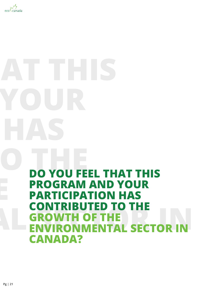

# **DO YOU FEEL THAT THIS PROGRAM AND YOUR PARTICIPATION HAS CONTRIBUTED TO THE GROWTH OF THE ENVIRONMENTAL SECTOR IN CANADA?**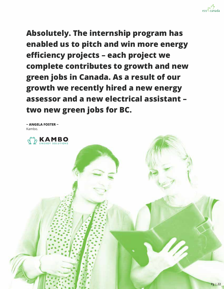

**Absolutely. The internship program has enabled us to pitch and win more energy efficiency projects – each project we complete contributes to growth and new green jobs in Canada. As a result of our growth we recently hired a new energy assessor and a new electrical assistant – two new green jobs for BC.** 

**~ ANGELA FOSTER ~** Kambo.

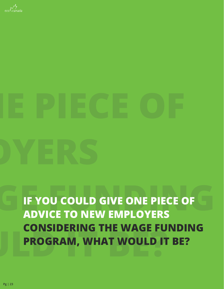

**IF YOU COULD GIVE ONE PIECE OF ADVICE TO NEW EMPLOYERS CONSIDERING THE WAGE FUNDING PROGRAM, WHAT WOULD IT BE?**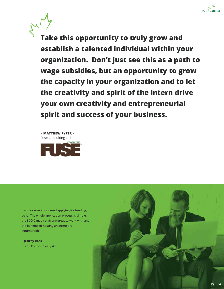

**Take this opportunity to truly grow and establish a talented individual within your organization. Don't just see this as a path to wage subsidies, but an opportunity to grow the capacity in your organization and to let the creativity and spirit of the intern drive your own creativity and entrepreneurial spirit and success of your business.**

**~ MATTHEW PYPER ~** Fuse Consulting Ltd.



**If you've ever considered applying for funding, do it! The whole application process is simple, the ECO Canada staff are great to work with and the benefits of hosting an intern are innumerable.** 

**~ Jeffrey Ross ~ Grand Council Treaty #3**

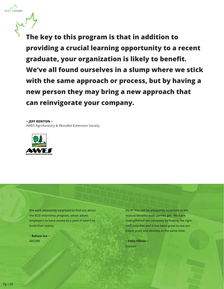**The key to this program is that in addition to providing a crucial learning opportunity to a recent graduate, your organization is likely to benefit. We've all found ourselves in a slump where we stick with the same approach or process, but by having a new person they may bring a new approach that can reinvigorate your company.**

**~ JEFF RENTON ~**

 $\cos\frac{\sqrt{y}}{x}$ 

AWES Agroforestry & Woodlot Extension Society



**We were pleasantly surprised to find out about the ECO internship program, which allows employers to have access to a pool of talent to build their teams.**

**~ Raluca Ion ~ AECOM**

**Do it! You will be pleasantly surprised at the mutual benefits both parties get. We have strengthened our company by finding the right staff member and it has been great to see our intern grow and develop at the same time.**

**~ Colin Filliter ~ Suavair**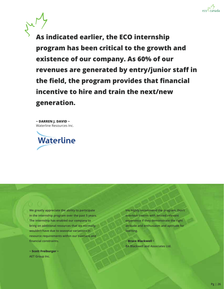

**As indicated earlier, the ECO internship program has been critical to the growth and existence of our company. As 60% of our revenues are generated by entry/junior staff in the field, the program provides that financial incentive to hire and train the next/new generation.** 

**~ DARREN J. DAVID ~** Waterline Resources Inc.



**We greatly appreciate the ability to participate in the internship program over the past 5 years. The internship has enabled our company to bring on additional resources that we normally wouldn't have due to seasonal variations in resource requirements within our business and financial constraints.**

**~ Scott Freiburger ~ AET Group Inc.**

**We highly recommend the program. Don't overlook interns with limited relevant experience if they demonstrate the right attitude and enthusiasm and aptitude for learning.**

**~ Bruce Blackwell ~ BA Blackwell and Associates Ltd.**